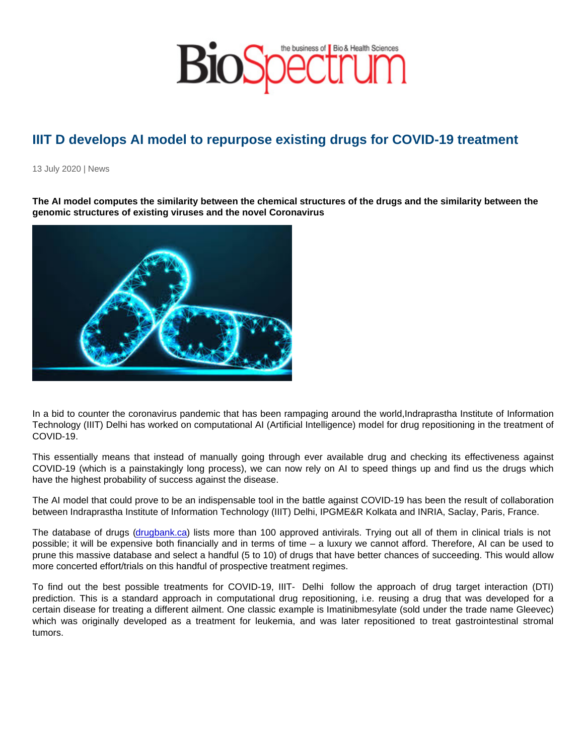## IIIT D develops AI model to repurpose existing drugs for COVID-19 treatment

13 July 2020 | News

The AI model computes the similarity between the chemical structures of the drugs and the similarity between the genomic structures of existing viruses and the novel Coronavirus

In a bid to counter the coronavirus pandemic that has been rampaging around the world,Indraprastha Institute of Information Technology (IIIT) Delhi has worked on computational AI (Artificial Intelligence) model for drug repositioning in the treatment of COVID-19.

This essentially means that instead of manually going through ever available drug and checking its effectiveness against COVID-19 (which is a painstakingly long process), we can now rely on AI to speed things up and find us the drugs which have the highest probability of success against the disease.

The AI model that could prove to be an indispensable tool in the battle against COVID-19 has been the result of collaboration between Indraprastha Institute of Information Technology (IIIT) Delhi, IPGME&R Kolkata and INRIA, Saclay, Paris, France.

The database of drugs [\(drugbank.ca\)](http://drugbank.ca/) lists more than 100 approved antivirals. Trying out all of them in clinical trials is not possible; it will be expensive both financially and in terms of time – a luxury we cannot afford. Therefore, AI can be used to prune this massive database and select a handful (5 to 10) of drugs that have better chances of succeeding. This would allow more concerted effort/trials on this handful of prospective treatment regimes.

To find out the best possible treatments for COVID-19, IIIT- Delhi follow the approach of drug target interaction (DTI) prediction. This is a standard approach in computational drug repositioning, i.e. reusing a drug that was developed for a certain disease for treating a different ailment. One classic example is Imatinibmesylate (sold under the trade name Gleevec) which was originally developed as a treatment for leukemia, and was later repositioned to treat gastrointestinal stromal tumors.